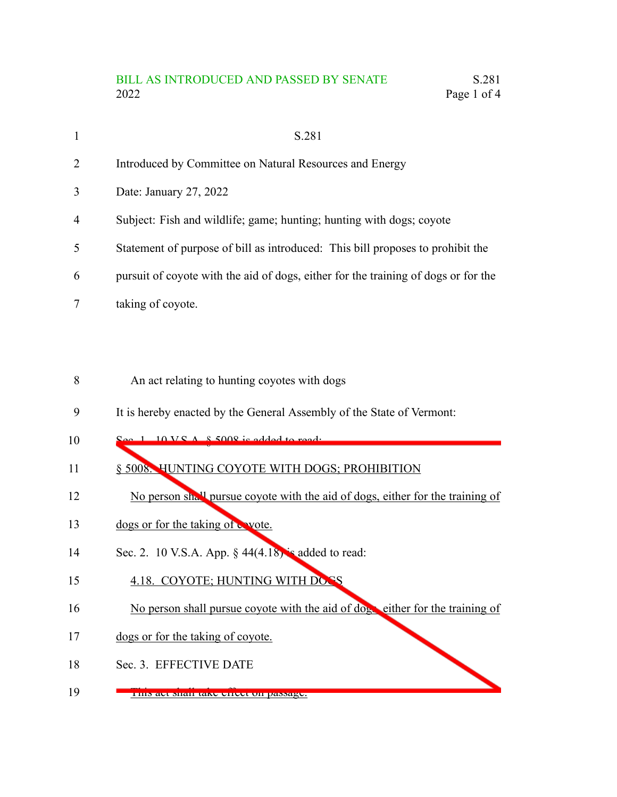## BILL AS INTRODUCED AND PASSED BY SENATE S.281 2022 Page 1 of 4

| $\mathbf{1}$   | S.281                                                                              |
|----------------|------------------------------------------------------------------------------------|
| $\overline{2}$ | Introduced by Committee on Natural Resources and Energy                            |
| 3              | Date: January 27, 2022                                                             |
| $\overline{4}$ | Subject: Fish and wildlife; game; hunting; hunting with dogs; coyote               |
| 5              | Statement of purpose of bill as introduced: This bill proposes to prohibit the     |
| 6              | pursuit of coyote with the aid of dogs, either for the training of dogs or for the |
|                | taking of coyote.                                                                  |

- An act relating to hunting coyotes with dogs 8
- It is hereby enacted by the General Assembly of the State of Vermont: 9
- $S(X) \subseteq A \times S$ 008 is 10
- § 5008. HUNTING COYOTE WITH DOGS; PROHIBITION 11
- No person shall pursue coyote with the aid of dogs, either for the training of 12
- dogs or for the taking of wote. 13
- Sec. 2. 10 V.S.A. App.  $\S$  44(4.18) is added to read: 14
- 4.18. COYOTE; HUNTING WITH DOGS 15
- No person shall pursue coyote with the aid of dogs either for the training of 16
- dogs or for the taking of coyote. 17
- Sec. 3. EFFECTIVE DATE 18
- This act shall take effect on passage. 19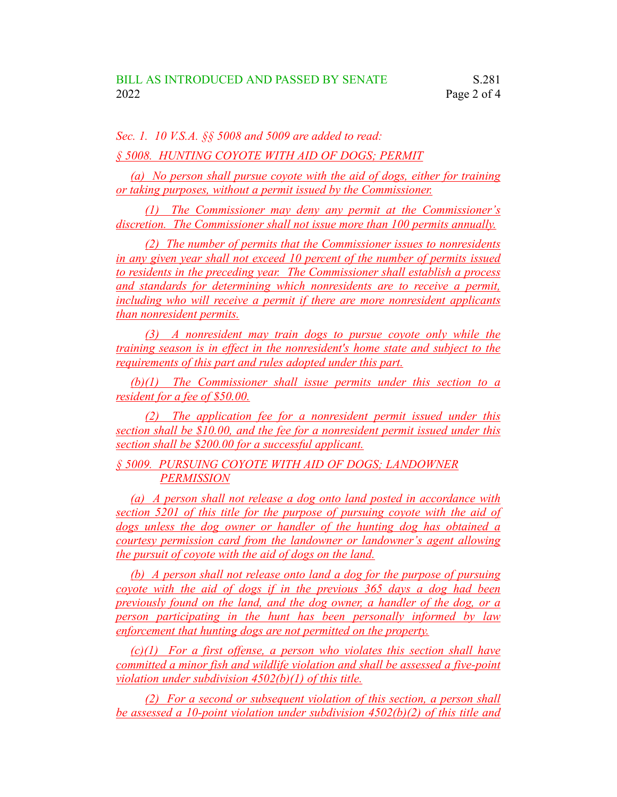*Sec. 1. 10 V.S.A. §§ 5008 and 5009 are added to read:*

*§ 5008. HUNTING COYOTE WITH AID OF DOGS; PERMIT*

*(a) No person shall pursue coyote with the aid of dogs, either for training or taking purposes, without a permit issued by the Commissioner.*

*(1) The Commissioner may deny any permit at the Commissioner's discretion. The Commissioner shall not issue more than 100 permits annually.*

*(2) The number of permits that the Commissioner issues to nonresidents in any given year shall not exceed 10 percent of the number of permits issued to residents in the preceding year. The Commissioner shall establish a process and standards for determining which nonresidents are to receive a permit, including who will receive a permit if there are more nonresident applicants than nonresident permits.*

*(3) A nonresident may train dogs to pursue coyote only while the training season is in effect in the nonresident's home state and subject to the requirements of this part and rules adopted under this part.*

*(b)(1) The Commissioner shall issue permits under this section to a resident for a fee of \$50.00.*

*(2) The application fee for a nonresident permit issued under this section shall be \$10.00, and the fee for a nonresident permit issued under this section shall be \$200.00 for a successful applicant.*

*§ 5009. PURSUING COYOTE WITH AID OF DOGS; LANDOWNER PERMISSION*

*(a) A person shall not release a dog onto land posted in accordance with section 5201 of this title for the purpose of pursuing coyote with the aid of dogs unless the dog owner or handler of the hunting dog has obtained a courtesy permission card from the landowner or landowner's agent allowing the pursuit of coyote with the aid of dogs on the land.*

*(b) A person shall not release onto land a dog for the purpose of pursuing coyote with the aid of dogs if in the previous 365 days a dog had been previously found on the land, and the dog owner, a handler of the dog, or a person participating in the hunt has been personally informed by law enforcement that hunting dogs are not permitted on the property.*

*(c)(1) For a first offense, a person who violates this section shall have committed a minor fish and wildlife violation and shall be assessed a five-point violation under subdivision 4502(b)(1) of this title.*

*(2) For a second or subsequent violation of this section, a person shall be assessed a 10-point violation under subdivision 4502(b)(2) of this title and*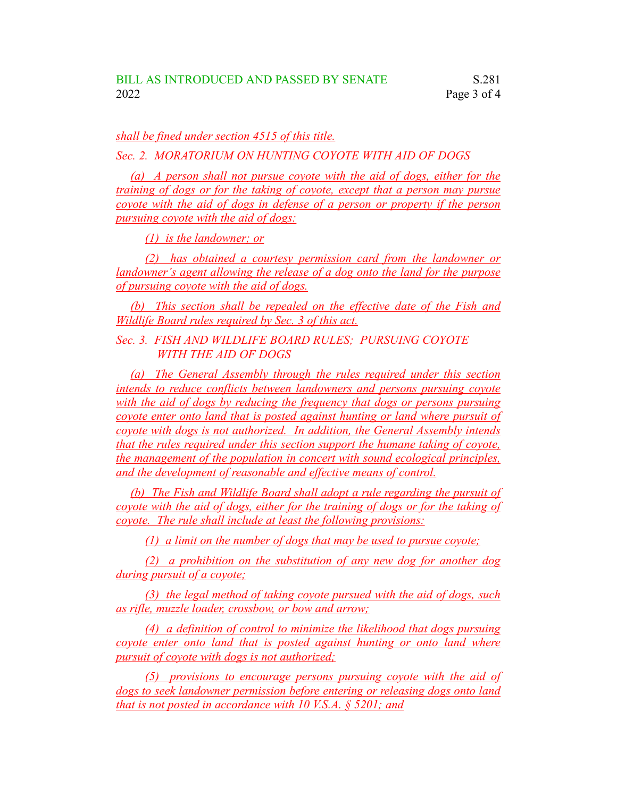*shall be fined under section 4515 of this title.*

*Sec. 2. MORATORIUM ON HUNTING COYOTE WITH AID OF DOGS*

*(a) A person shall not pursue coyote with the aid of dogs, either for the training of dogs or for the taking of coyote, except that a person may pursue coyote with the aid of dogs in defense of a person or property if the person pursuing coyote with the aid of dogs:*

*(1) is the landowner; or*

*(2) has obtained a courtesy permission card from the landowner or landowner's agent allowing the release of a dog onto the land for the purpose of pursuing coyote with the aid of dogs.*

*(b) This section shall be repealed on the effective date of the Fish and Wildlife Board rules required by Sec. 3 of this act.*

*Sec. 3. FISH AND WILDLIFE BOARD RULES; PURSUING COYOTE WITH THE AID OF DOGS*

*(a) The General Assembly through the rules required under this section intends to reduce conflicts between landowners and persons pursuing coyote with the aid of dogs by reducing the frequency that dogs or persons pursuing coyote enter onto land that is posted against hunting or land where pursuit of coyote with dogs is not authorized. In addition, the General Assembly intends that the rules required under this section support the humane taking of coyote, the management of the population in concert with sound ecological principles, and the development of reasonable and effective means of control.*

*(b) The Fish and Wildlife Board shall adopt a rule regarding the pursuit of coyote with the aid of dogs, either for the training of dogs or for the taking of coyote. The rule shall include at least the following provisions:*

*(1) a limit on the number of dogs that may be used to pursue coyote;*

*(2) a prohibition on the substitution of any new dog for another dog during pursuit of a coyote;*

*(3) the legal method of taking coyote pursued with the aid of dogs, such as rifle, muzzle loader, crossbow, or bow and arrow;*

*(4) a definition of control to minimize the likelihood that dogs pursuing coyote enter onto land that is posted against hunting or onto land where pursuit of coyote with dogs is not authorized;*

*(5) provisions to encourage persons pursuing coyote with the aid of dogs to seek landowner permission before entering or releasing dogs onto land that is not posted in accordance with 10 V.S.A. § 5201; and*